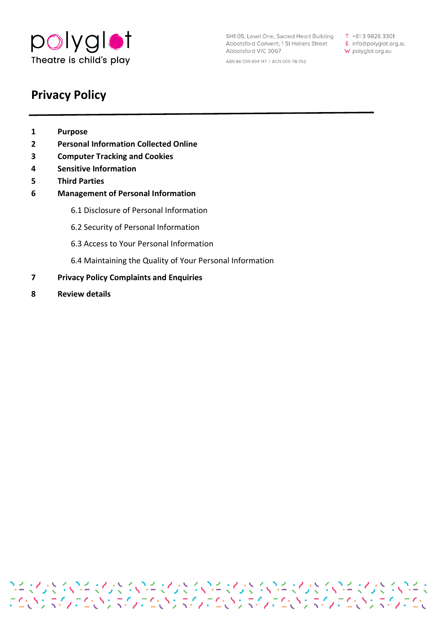

SH1.05, Level One, Sacred Heart Building T +613 9826 3301 Abbotsford Convent, 1 St Heliers Street E info@polyglot.org.au Abbotsford VIC 3067 ABN 86 099 894 147 | ACN 005 118 052

W polyglot.org.au

# **Privacy Policy**

- **1 Purpose**
- **2 Personal Information Collected Online**
- **3 Computer Tracking and Cookies**
- **4 Sensitive Information**
- **5 Third Parties**
- **6 Management of Personal Information** 
	- 6.1 Disclosure of Personal Information
	- 6.2 Security of Personal Information
	- 6.3 Access to Your Personal Information
	- 6.4 Maintaining the Quality of Your Personal Information

フィマントランドマントランドマントランドマントランドマントランドマントランド<br>こくいう マインこくいう マインこくい マインこくいう マインこくいう マイン マインこくい

- **7 Privacy Policy Complaints and Enquiries**
- **8 Review details**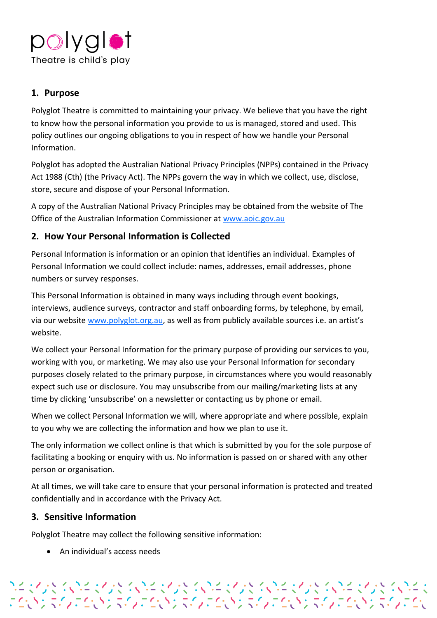

## **1. Purpose**

Polyglot Theatre is committed to maintaining your privacy. We believe that you have the right to know how the personal information you provide to us is managed, stored and used. This policy outlines our ongoing obligations to you in respect of how we handle your Personal Information.

Polyglot has adopted the Australian National Privacy Principles (NPPs) contained in the Privacy Act 1988 (Cth) (the Privacy Act). The NPPs govern the way in which we collect, use, disclose, store, secure and dispose of your Personal Information.

A copy of the Australian National Privacy Principles may be obtained from the website of The Office of the Australian Information Commissioner at [www.aoic.gov.au](http://www.aoic.gov.au/)

# **2. How Your Personal Information is Collected**

Personal Information is information or an opinion that identifies an individual. Examples of Personal Information we could collect include: names, addresses, email addresses, phone numbers or survey responses.

This Personal Information is obtained in many ways including through event bookings, interviews, audience surveys, contractor and staff onboarding forms, by telephone, by email, via our website [www.polyglot.org.au,](http://www.polyglot.org.au/) as well as from publicly available sources i.e. an artist's website.

We collect your Personal Information for the primary purpose of providing our services to you, working with you, or marketing. We may also use your Personal Information for secondary purposes closely related to the primary purpose, in circumstances where you would reasonably expect such use or disclosure. You may unsubscribe from our mailing/marketing lists at any time by clicking 'unsubscribe' on a newsletter or contacting us by phone or email.

When we collect Personal Information we will, where appropriate and where possible, explain to you why we are collecting the information and how we plan to use it.

The only information we collect online is that which is submitted by you for the sole purpose of facilitating a booking or enquiry with us. No information is passed on or shared with any other person or organisation.

At all times, we will take care to ensure that your personal information is protected and treated confidentially and in accordance with the Privacy Act.

アイマングランドマングランスのイングランスのイングランスのインダーマングランスのイン<br>こというスタンこというスタンにいうスタンにいうスタンにいうスタンにいうスタンにい

# **3. Sensitive Information**

Polyglot Theatre may collect the following sensitive information:

• An individual's access needs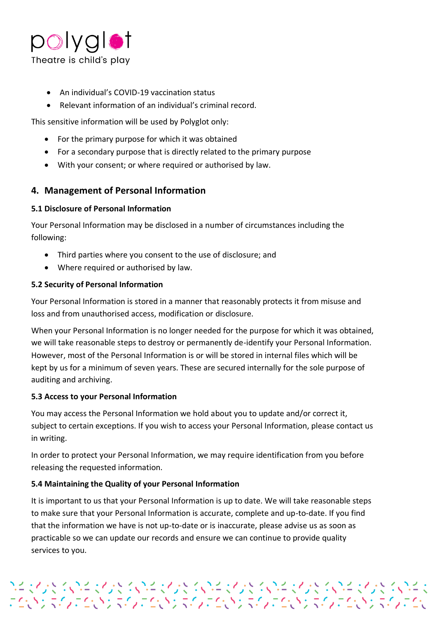

- An individual's COVID-19 vaccination status
- Relevant information of an individual's criminal record.

This sensitive information will be used by Polyglot only:

- For the primary purpose for which it was obtained
- For a secondary purpose that is directly related to the primary purpose
- With your consent; or where required or authorised by law.

### **4. Management of Personal Information**

#### **5.1 Disclosure of Personal Information**

Your Personal Information may be disclosed in a number of circumstances including the following:

- Third parties where you consent to the use of disclosure; and
- Where required or authorised by law.

#### **5.2 Security of Personal Information**

Your Personal Information is stored in a manner that reasonably protects it from misuse and loss and from unauthorised access, modification or disclosure.

When your Personal Information is no longer needed for the purpose for which it was obtained, we will take reasonable steps to destroy or permanently de-identify your Personal Information. However, most of the Personal Information is or will be stored in internal files which will be kept by us for a minimum of seven years. These are secured internally for the sole purpose of auditing and archiving.

#### **5.3 Access to your Personal Information**

You may access the Personal Information we hold about you to update and/or correct it, subject to certain exceptions. If you wish to access your Personal Information, please contact us in writing.

In order to protect your Personal Information, we may require identification from you before releasing the requested information.

#### **5.4 Maintaining the Quality of your Personal Information**

It is important to us that your Personal Information is up to date. We will take reasonable steps to make sure that your Personal Information is accurate, complete and up-to-date. If you find that the information we have is not up-to-date or is inaccurate, please advise us as soon as practicable so we can update our records and ensure we can continue to provide quality services to you.

プチャイント くいきゅくしょく くいきゅくしょく くいきゅくしょう くいしょく くいしょう くいしきょう こくしょう くいしょう こくしょう こくしょうこうしょう こうしょうしょうしょうしょう